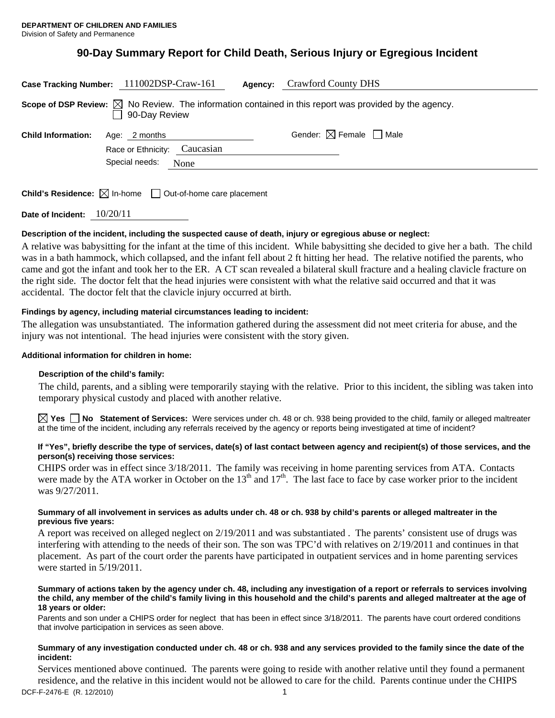# **90-Day Summary Report for Child Death, Serious Injury or Egregious Incident**

| Case Tracking Number: 111002DSP-Craw-161                                                                                          |                                                |      | Agency: | <b>Crawford County DHS</b>             |
|-----------------------------------------------------------------------------------------------------------------------------------|------------------------------------------------|------|---------|----------------------------------------|
| Scope of DSP Review: $\boxtimes$ No Review. The information contained in this report was provided by the agency.<br>90-Day Review |                                                |      |         |                                        |
| <b>Child Information:</b>                                                                                                         | Age: 2 months                                  |      |         | Gender: $\boxtimes$ Female $\Box$ Male |
|                                                                                                                                   | Race or Ethnicity: Caucasian<br>Special needs: | None |         |                                        |

**Child's Residence:**  $\boxtimes$  In-home  $\Box$  Out-of-home care placement

**Date of Incident:** 10/20/11

### **Description of the incident, including the suspected cause of death, injury or egregious abuse or neglect:**

A relative was babysitting for the infant at the time of this incident. While babysitting she decided to give her a bath. The child was in a bath hammock, which collapsed, and the infant fell about 2 ft hitting her head. The relative notified the parents, who came and got the infant and took her to the ER. A CT scan revealed a bilateral skull fracture and a healing clavicle fracture on the right side. The doctor felt that the head injuries were consistent with what the relative said occurred and that it was accidental. The doctor felt that the clavicle injury occurred at birth.

### **Findings by agency, including material circumstances leading to incident:**

The allegation was unsubstantiated. The information gathered during the assessment did not meet criteria for abuse, and the injury was not intentional. The head injuries were consistent with the story given.

### **Additional information for children in home:**

### **Description of the child's family:**

The child, parents, and a sibling were temporarily staying with the relative. Prior to this incident, the sibling was taken into temporary physical custody and placed with another relative.

**Yes No** Statement of Services: Were services under ch. 48 or ch. 938 being provided to the child, family or alleged maltreater at the time of the incident, including any referrals received by the agency or reports being investigated at time of incident?

#### **If "Yes", briefly describe the type of services, date(s) of last contact between agency and recipient(s) of those services, and the person(s) receiving those services:**

CHIPS order was in effect since 3/18/2011. The family was receiving in home parenting services from ATA. Contacts were made by the ATA worker in October on the  $13<sup>th</sup>$  and  $17<sup>th</sup>$ . The last face to face by case worker prior to the incident was 9/27/2011.

#### **Summary of all involvement in services as adults under ch. 48 or ch. 938 by child's parents or alleged maltreater in the previous five years:**

A report was received on alleged neglect on 2/19/2011 and was substantiated . The parents' consistent use of drugs was interfering with attending to the needs of their son. The son was TPC'd with relatives on 2/19/2011 and continues in that placement. As part of the court order the parents have participated in outpatient services and in home parenting services were started in 5/19/2011.

#### **Summary of actions taken by the agency under ch. 48, including any investigation of a report or referrals to services involving the child, any member of the child's family living in this household and the child's parents and alleged maltreater at the age of 18 years or older:**

Parents and son under a CHIPS order for neglect that has been in effect since 3/18/2011. The parents have court ordered conditions that involve participation in services as seen above.

### **Summary of any investigation conducted under ch. 48 or ch. 938 and any services provided to the family since the date of the incident:**

DCF-F-2476-E (R. 12/2010) 1 Services mentioned above continued. The parents were going to reside with another relative until they found a permanent residence, and the relative in this incident would not be allowed to care for the child. Parents continue under the CHIPS